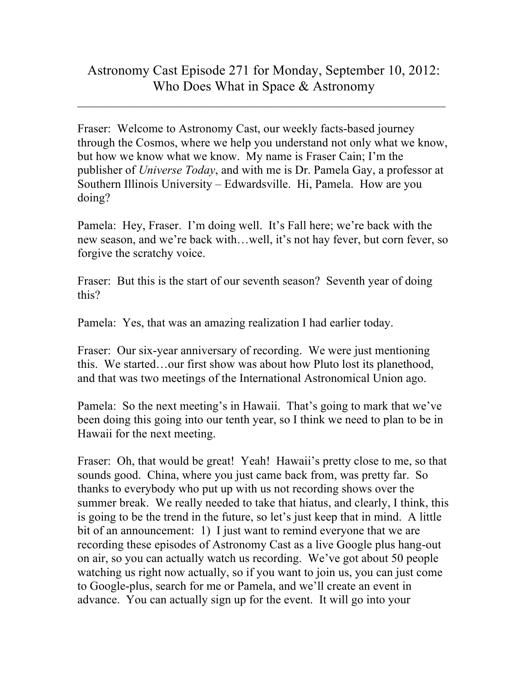$\_$  , and the contribution of the contribution of  $\mathcal{L}_\mathcal{A}$  , and the contribution of  $\mathcal{L}_\mathcal{A}$ 

Fraser: Welcome to Astronomy Cast, our weekly facts-based journey through the Cosmos, where we help you understand not only what we know, but how we know what we know. My name is Fraser Cain; I'm the publisher of *Universe Today*, and with me is Dr. Pamela Gay, a professor at Southern Illinois University – Edwardsville. Hi, Pamela. How are you doing?

Pamela: Hey, Fraser. I'm doing well. It's Fall here; we're back with the new season, and we're back with…well, it's not hay fever, but corn fever, so forgive the scratchy voice.

Fraser: But this is the start of our seventh season? Seventh year of doing this?

Pamela: Yes, that was an amazing realization I had earlier today.

Fraser: Our six-year anniversary of recording. We were just mentioning this. We started…our first show was about how Pluto lost its planethood, and that was two meetings of the International Astronomical Union ago.

Pamela: So the next meeting's in Hawaii. That's going to mark that we've been doing this going into our tenth year, so I think we need to plan to be in Hawaii for the next meeting.

Fraser: Oh, that would be great! Yeah! Hawaii's pretty close to me, so that sounds good. China, where you just came back from, was pretty far. So thanks to everybody who put up with us not recording shows over the summer break. We really needed to take that hiatus, and clearly, I think, this is going to be the trend in the future, so let's just keep that in mind. A little bit of an announcement: 1) I just want to remind everyone that we are recording these episodes of Astronomy Cast as a live Google plus hang-out on air, so you can actually watch us recording. We've got about 50 people watching us right now actually, so if you want to join us, you can just come to Google-plus, search for me or Pamela, and we'll create an event in advance. You can actually sign up for the event. It will go into your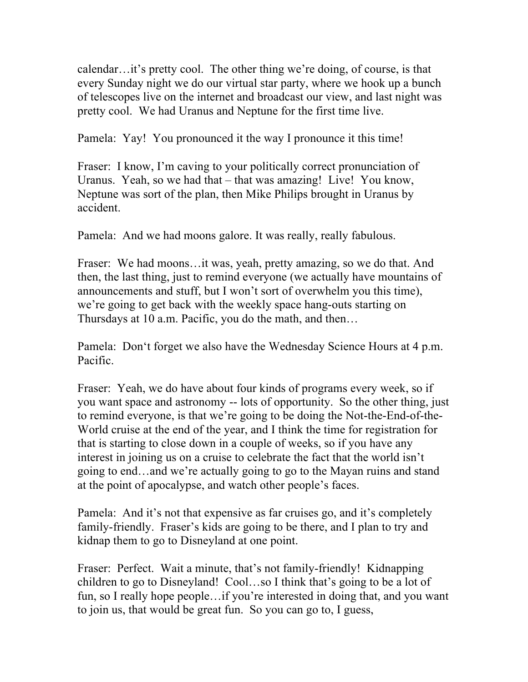calendar…it's pretty cool. The other thing we're doing, of course, is that every Sunday night we do our virtual star party, where we hook up a bunch of telescopes live on the internet and broadcast our view, and last night was pretty cool. We had Uranus and Neptune for the first time live.

Pamela: Yay! You pronounced it the way I pronounce it this time!

Fraser: I know, I'm caving to your politically correct pronunciation of Uranus. Yeah, so we had that – that was amazing! Live! You know, Neptune was sort of the plan, then Mike Philips brought in Uranus by accident.

Pamela: And we had moons galore. It was really, really fabulous.

Fraser: We had moons…it was, yeah, pretty amazing, so we do that. And then, the last thing, just to remind everyone (we actually have mountains of announcements and stuff, but I won't sort of overwhelm you this time), we're going to get back with the weekly space hang-outs starting on Thursdays at 10 a.m. Pacific, you do the math, and then…

Pamela: Don't forget we also have the Wednesday Science Hours at 4 p.m. Pacific.

Fraser: Yeah, we do have about four kinds of programs every week, so if you want space and astronomy -- lots of opportunity. So the other thing, just to remind everyone, is that we're going to be doing the Not-the-End-of-the-World cruise at the end of the year, and I think the time for registration for that is starting to close down in a couple of weeks, so if you have any interest in joining us on a cruise to celebrate the fact that the world isn't going to end…and we're actually going to go to the Mayan ruins and stand at the point of apocalypse, and watch other people's faces.

Pamela: And it's not that expensive as far cruises go, and it's completely family-friendly. Fraser's kids are going to be there, and I plan to try and kidnap them to go to Disneyland at one point.

Fraser: Perfect. Wait a minute, that's not family-friendly! Kidnapping children to go to Disneyland! Cool…so I think that's going to be a lot of fun, so I really hope people…if you're interested in doing that, and you want to join us, that would be great fun. So you can go to, I guess,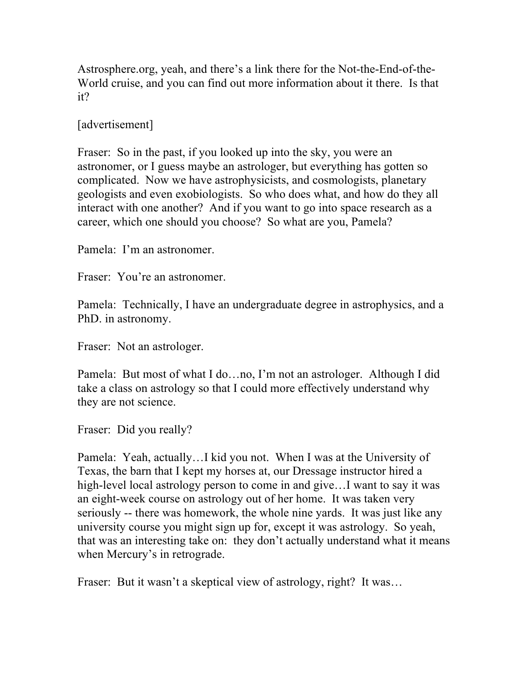Astrosphere.org, yeah, and there's a link there for the Not-the-End-of-the-World cruise, and you can find out more information about it there. Is that it?

[advertisement]

Fraser: So in the past, if you looked up into the sky, you were an astronomer, or I guess maybe an astrologer, but everything has gotten so complicated. Now we have astrophysicists, and cosmologists, planetary geologists and even exobiologists. So who does what, and how do they all interact with one another? And if you want to go into space research as a career, which one should you choose? So what are you, Pamela?

Pamela: I'm an astronomer.

Fraser: You're an astronomer.

Pamela: Technically, I have an undergraduate degree in astrophysics, and a PhD. in astronomy.

Fraser: Not an astrologer.

Pamela: But most of what I do…no, I'm not an astrologer. Although I did take a class on astrology so that I could more effectively understand why they are not science.

Fraser: Did you really?

Pamela: Yeah, actually…I kid you not. When I was at the University of Texas, the barn that I kept my horses at, our Dressage instructor hired a high-level local astrology person to come in and give...I want to say it was an eight-week course on astrology out of her home. It was taken very seriously -- there was homework, the whole nine yards. It was just like any university course you might sign up for, except it was astrology. So yeah, that was an interesting take on: they don't actually understand what it means when Mercury's in retrograde.

Fraser: But it wasn't a skeptical view of astrology, right? It was...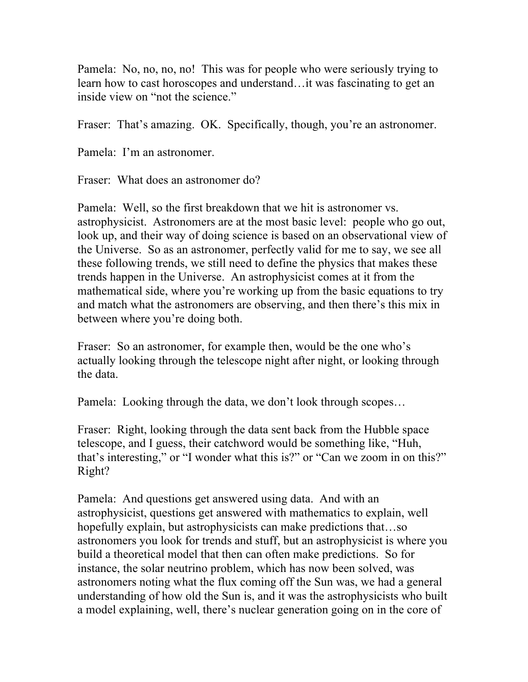Pamela: No, no, no, no! This was for people who were seriously trying to learn how to cast horoscopes and understand…it was fascinating to get an inside view on "not the science."

Fraser: That's amazing. OK. Specifically, though, you're an astronomer.

Pamela: I'm an astronomer.

Fraser: What does an astronomer do?

Pamela: Well, so the first breakdown that we hit is astronomer vs. astrophysicist. Astronomers are at the most basic level: people who go out, look up, and their way of doing science is based on an observational view of the Universe. So as an astronomer, perfectly valid for me to say, we see all these following trends, we still need to define the physics that makes these trends happen in the Universe. An astrophysicist comes at it from the mathematical side, where you're working up from the basic equations to try and match what the astronomers are observing, and then there's this mix in between where you're doing both.

Fraser: So an astronomer, for example then, would be the one who's actually looking through the telescope night after night, or looking through the data.

Pamela: Looking through the data, we don't look through scopes…

Fraser: Right, looking through the data sent back from the Hubble space telescope, and I guess, their catchword would be something like, "Huh, that's interesting," or "I wonder what this is?" or "Can we zoom in on this?" Right?

Pamela: And questions get answered using data. And with an astrophysicist, questions get answered with mathematics to explain, well hopefully explain, but astrophysicists can make predictions that...so astronomers you look for trends and stuff, but an astrophysicist is where you build a theoretical model that then can often make predictions. So for instance, the solar neutrino problem, which has now been solved, was astronomers noting what the flux coming off the Sun was, we had a general understanding of how old the Sun is, and it was the astrophysicists who built a model explaining, well, there's nuclear generation going on in the core of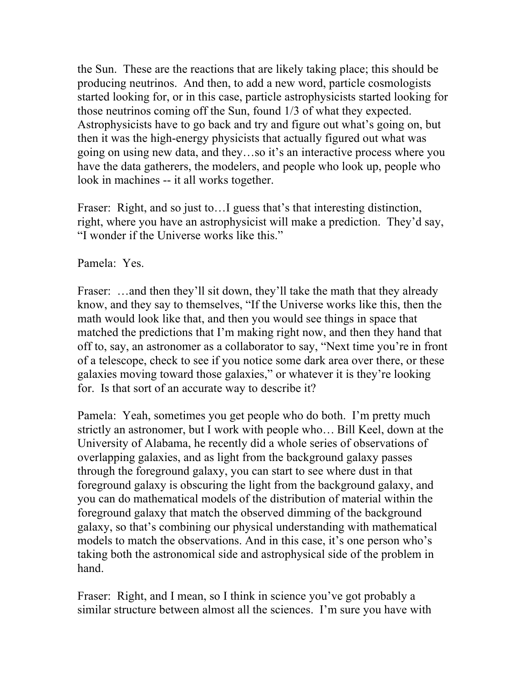the Sun. These are the reactions that are likely taking place; this should be producing neutrinos. And then, to add a new word, particle cosmologists started looking for, or in this case, particle astrophysicists started looking for those neutrinos coming off the Sun, found 1/3 of what they expected. Astrophysicists have to go back and try and figure out what's going on, but then it was the high-energy physicists that actually figured out what was going on using new data, and they…so it's an interactive process where you have the data gatherers, the modelers, and people who look up, people who look in machines -- it all works together.

Fraser: Right, and so just to... I guess that's that interesting distinction, right, where you have an astrophysicist will make a prediction. They'd say, "I wonder if the Universe works like this."

Pamela: Yes.

Fraser: ...and then they'll sit down, they'll take the math that they already know, and they say to themselves, "If the Universe works like this, then the math would look like that, and then you would see things in space that matched the predictions that I'm making right now, and then they hand that off to, say, an astronomer as a collaborator to say, "Next time you're in front of a telescope, check to see if you notice some dark area over there, or these galaxies moving toward those galaxies," or whatever it is they're looking for. Is that sort of an accurate way to describe it?

Pamela: Yeah, sometimes you get people who do both. I'm pretty much strictly an astronomer, but I work with people who… Bill Keel, down at the University of Alabama, he recently did a whole series of observations of overlapping galaxies, and as light from the background galaxy passes through the foreground galaxy, you can start to see where dust in that foreground galaxy is obscuring the light from the background galaxy, and you can do mathematical models of the distribution of material within the foreground galaxy that match the observed dimming of the background galaxy, so that's combining our physical understanding with mathematical models to match the observations. And in this case, it's one person who's taking both the astronomical side and astrophysical side of the problem in hand.

Fraser: Right, and I mean, so I think in science you've got probably a similar structure between almost all the sciences. I'm sure you have with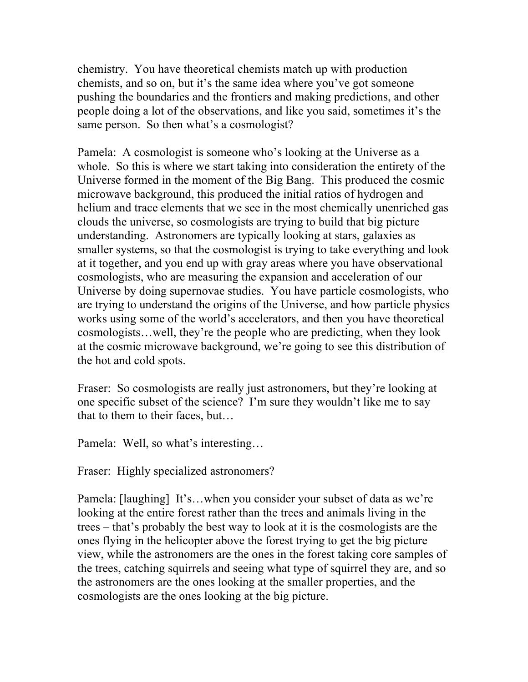chemistry. You have theoretical chemists match up with production chemists, and so on, but it's the same idea where you've got someone pushing the boundaries and the frontiers and making predictions, and other people doing a lot of the observations, and like you said, sometimes it's the same person. So then what's a cosmologist?

Pamela: A cosmologist is someone who's looking at the Universe as a whole. So this is where we start taking into consideration the entirety of the Universe formed in the moment of the Big Bang. This produced the cosmic microwave background, this produced the initial ratios of hydrogen and helium and trace elements that we see in the most chemically unenriched gas clouds the universe, so cosmologists are trying to build that big picture understanding. Astronomers are typically looking at stars, galaxies as smaller systems, so that the cosmologist is trying to take everything and look at it together, and you end up with gray areas where you have observational cosmologists, who are measuring the expansion and acceleration of our Universe by doing supernovae studies. You have particle cosmologists, who are trying to understand the origins of the Universe, and how particle physics works using some of the world's accelerators, and then you have theoretical cosmologists…well, they're the people who are predicting, when they look at the cosmic microwave background, we're going to see this distribution of the hot and cold spots.

Fraser: So cosmologists are really just astronomers, but they're looking at one specific subset of the science? I'm sure they wouldn't like me to say that to them to their faces, but…

Pamela: Well, so what's interesting…

Fraser: Highly specialized astronomers?

Pamela: [laughing] It's…when you consider your subset of data as we're looking at the entire forest rather than the trees and animals living in the trees – that's probably the best way to look at it is the cosmologists are the ones flying in the helicopter above the forest trying to get the big picture view, while the astronomers are the ones in the forest taking core samples of the trees, catching squirrels and seeing what type of squirrel they are, and so the astronomers are the ones looking at the smaller properties, and the cosmologists are the ones looking at the big picture.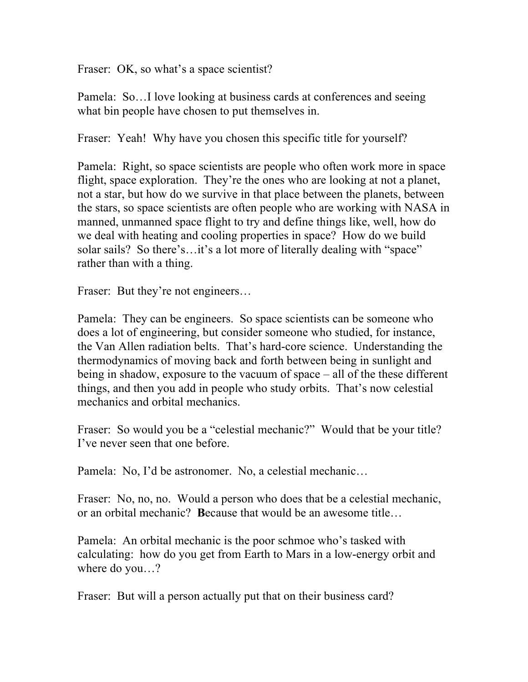Fraser: OK, so what's a space scientist?

Pamela: So…I love looking at business cards at conferences and seeing what bin people have chosen to put themselves in.

Fraser: Yeah! Why have you chosen this specific title for yourself?

Pamela: Right, so space scientists are people who often work more in space flight, space exploration. They're the ones who are looking at not a planet, not a star, but how do we survive in that place between the planets, between the stars, so space scientists are often people who are working with NASA in manned, unmanned space flight to try and define things like, well, how do we deal with heating and cooling properties in space? How do we build solar sails? So there's...it's a lot more of literally dealing with "space" rather than with a thing.

Fraser: But they're not engineers...

Pamela: They can be engineers. So space scientists can be someone who does a lot of engineering, but consider someone who studied, for instance, the Van Allen radiation belts. That's hard-core science. Understanding the thermodynamics of moving back and forth between being in sunlight and being in shadow, exposure to the vacuum of space – all of the these different things, and then you add in people who study orbits. That's now celestial mechanics and orbital mechanics.

Fraser: So would you be a "celestial mechanic?" Would that be your title? I've never seen that one before.

Pamela: No, I'd be astronomer. No, a celestial mechanic…

Fraser: No, no, no. Would a person who does that be a celestial mechanic, or an orbital mechanic? **B**ecause that would be an awesome title…

Pamela: An orbital mechanic is the poor schmoe who's tasked with calculating: how do you get from Earth to Mars in a low-energy orbit and where do you…?

Fraser: But will a person actually put that on their business card?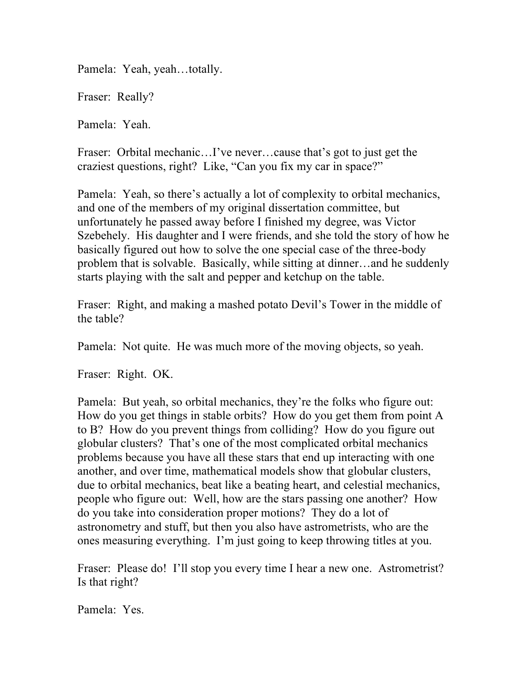Pamela: Yeah, yeah…totally.

Fraser: Really?

Pamela: Yeah.

Fraser: Orbital mechanic…I've never…cause that's got to just get the craziest questions, right? Like, "Can you fix my car in space?"

Pamela: Yeah, so there's actually a lot of complexity to orbital mechanics, and one of the members of my original dissertation committee, but unfortunately he passed away before I finished my degree, was Victor Szebehely. His daughter and I were friends, and she told the story of how he basically figured out how to solve the one special case of the three-body problem that is solvable. Basically, while sitting at dinner…and he suddenly starts playing with the salt and pepper and ketchup on the table.

Fraser: Right, and making a mashed potato Devil's Tower in the middle of the table?

Pamela: Not quite. He was much more of the moving objects, so yeah.

Fraser: Right. OK.

Pamela: But yeah, so orbital mechanics, they're the folks who figure out: How do you get things in stable orbits? How do you get them from point A to B? How do you prevent things from colliding? How do you figure out globular clusters? That's one of the most complicated orbital mechanics problems because you have all these stars that end up interacting with one another, and over time, mathematical models show that globular clusters, due to orbital mechanics, beat like a beating heart, and celestial mechanics, people who figure out: Well, how are the stars passing one another? How do you take into consideration proper motions? They do a lot of astronometry and stuff, but then you also have astrometrists, who are the ones measuring everything. I'm just going to keep throwing titles at you.

Fraser: Please do! I'll stop you every time I hear a new one. Astrometrist? Is that right?

Pamela: Yes.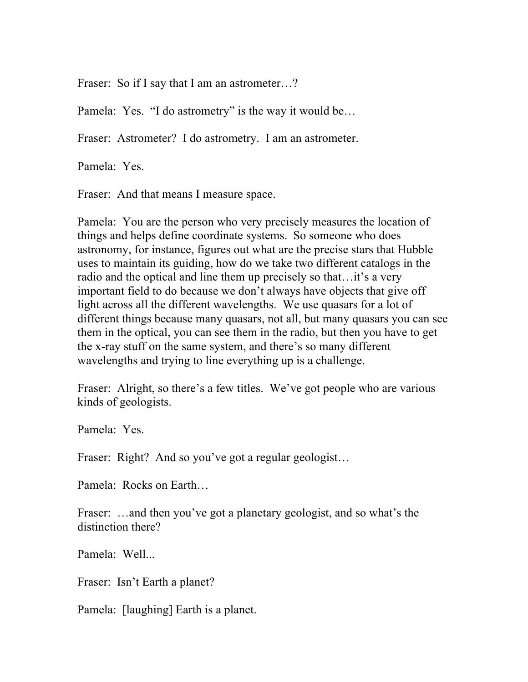Fraser: So if I say that I am an astrometer...?

Pamela: Yes. "I do astrometry" is the way it would be...

Fraser: Astrometer? I do astrometry. I am an astrometer.

Pamela: Yes.

Fraser: And that means I measure space.

Pamela: You are the person who very precisely measures the location of things and helps define coordinate systems. So someone who does astronomy, for instance, figures out what are the precise stars that Hubble uses to maintain its guiding, how do we take two different catalogs in the radio and the optical and line them up precisely so that…it's a very important field to do because we don't always have objects that give off light across all the different wavelengths. We use quasars for a lot of different things because many quasars, not all, but many quasars you can see them in the optical, you can see them in the radio, but then you have to get the x-ray stuff on the same system, and there's so many different wavelengths and trying to line everything up is a challenge.

Fraser: Alright, so there's a few titles. We've got people who are various kinds of geologists.

Pamela: Yes.

Fraser: Right? And so you've got a regular geologist...

Pamela: Rocks on Earth…

Fraser: …and then you've got a planetary geologist, and so what's the distinction there?

Pamela: Well...

Fraser: Isn't Earth a planet?

Pamela: [laughing] Earth is a planet.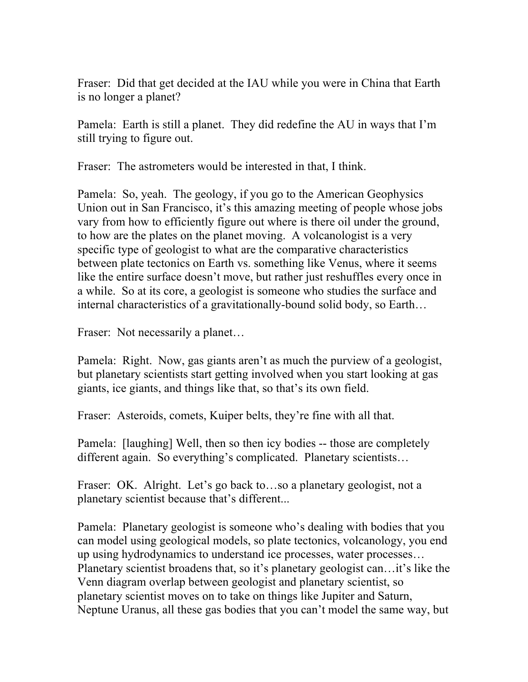Fraser: Did that get decided at the IAU while you were in China that Earth is no longer a planet?

Pamela: Earth is still a planet. They did redefine the AU in ways that I'm still trying to figure out.

Fraser: The astrometers would be interested in that, I think.

Pamela: So, yeah. The geology, if you go to the American Geophysics Union out in San Francisco, it's this amazing meeting of people whose jobs vary from how to efficiently figure out where is there oil under the ground, to how are the plates on the planet moving. A volcanologist is a very specific type of geologist to what are the comparative characteristics between plate tectonics on Earth vs. something like Venus, where it seems like the entire surface doesn't move, but rather just reshuffles every once in a while. So at its core, a geologist is someone who studies the surface and internal characteristics of a gravitationally-bound solid body, so Earth…

Fraser: Not necessarily a planet...

Pamela: Right. Now, gas giants aren't as much the purview of a geologist, but planetary scientists start getting involved when you start looking at gas giants, ice giants, and things like that, so that's its own field.

Fraser: Asteroids, comets, Kuiper belts, they're fine with all that.

Pamela: [laughing] Well, then so then icy bodies -- those are completely different again. So everything's complicated. Planetary scientists…

Fraser: OK. Alright. Let's go back to...so a planetary geologist, not a planetary scientist because that's different...

Pamela: Planetary geologist is someone who's dealing with bodies that you can model using geological models, so plate tectonics, volcanology, you end up using hydrodynamics to understand ice processes, water processes… Planetary scientist broadens that, so it's planetary geologist can…it's like the Venn diagram overlap between geologist and planetary scientist, so planetary scientist moves on to take on things like Jupiter and Saturn, Neptune Uranus, all these gas bodies that you can't model the same way, but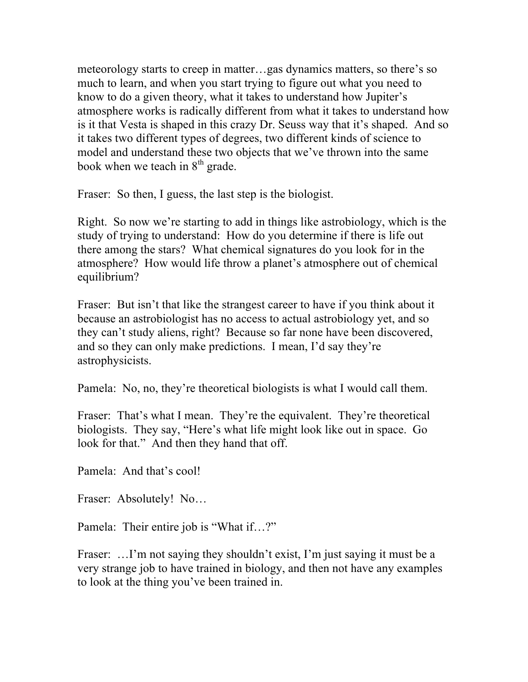meteorology starts to creep in matter…gas dynamics matters, so there's so much to learn, and when you start trying to figure out what you need to know to do a given theory, what it takes to understand how Jupiter's atmosphere works is radically different from what it takes to understand how is it that Vesta is shaped in this crazy Dr. Seuss way that it's shaped. And so it takes two different types of degrees, two different kinds of science to model and understand these two objects that we've thrown into the same book when we teach in  $8<sup>th</sup>$  grade.

Fraser: So then, I guess, the last step is the biologist.

Right. So now we're starting to add in things like astrobiology, which is the study of trying to understand: How do you determine if there is life out there among the stars? What chemical signatures do you look for in the atmosphere? How would life throw a planet's atmosphere out of chemical equilibrium?

Fraser: But isn't that like the strangest career to have if you think about it because an astrobiologist has no access to actual astrobiology yet, and so they can't study aliens, right? Because so far none have been discovered, and so they can only make predictions. I mean, I'd say they're astrophysicists.

Pamela: No, no, they're theoretical biologists is what I would call them.

Fraser: That's what I mean. They're the equivalent. They're theoretical biologists. They say, "Here's what life might look like out in space. Go look for that." And then they hand that off.

Pamela: And that's cool!

Fraser: Absolutely! No…

Pamela: Their entire job is "What if…?"

Fraser: ... I'm not saying they shouldn't exist, I'm just saying it must be a very strange job to have trained in biology, and then not have any examples to look at the thing you've been trained in.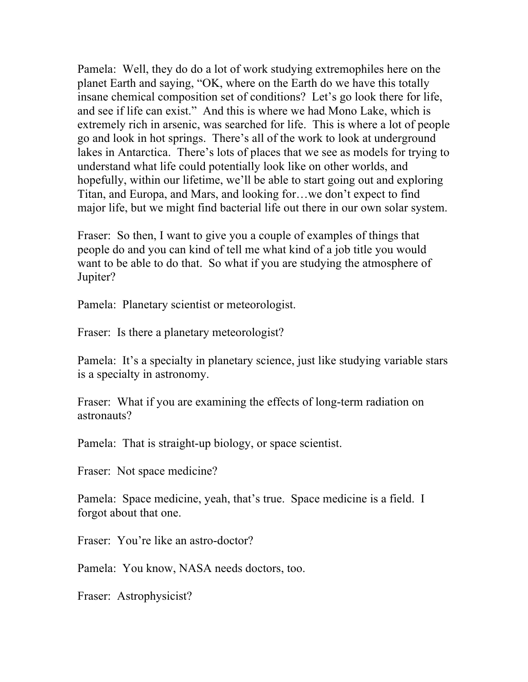Pamela: Well, they do do a lot of work studying extremophiles here on the planet Earth and saying, "OK, where on the Earth do we have this totally insane chemical composition set of conditions? Let's go look there for life, and see if life can exist." And this is where we had Mono Lake, which is extremely rich in arsenic, was searched for life. This is where a lot of people go and look in hot springs. There's all of the work to look at underground lakes in Antarctica. There's lots of places that we see as models for trying to understand what life could potentially look like on other worlds, and hopefully, within our lifetime, we'll be able to start going out and exploring Titan, and Europa, and Mars, and looking for…we don't expect to find major life, but we might find bacterial life out there in our own solar system.

Fraser: So then, I want to give you a couple of examples of things that people do and you can kind of tell me what kind of a job title you would want to be able to do that. So what if you are studying the atmosphere of Jupiter?

Pamela: Planetary scientist or meteorologist.

Fraser: Is there a planetary meteorologist?

Pamela: It's a specialty in planetary science, just like studying variable stars is a specialty in astronomy.

Fraser: What if you are examining the effects of long-term radiation on astronauts?

Pamela: That is straight-up biology, or space scientist.

Fraser: Not space medicine?

Pamela: Space medicine, yeah, that's true. Space medicine is a field. I forgot about that one.

Fraser: You're like an astro-doctor?

Pamela: You know, NASA needs doctors, too.

Fraser: Astrophysicist?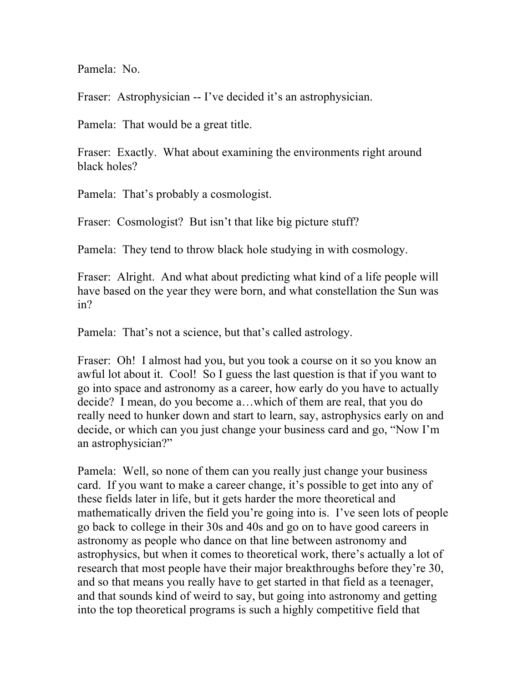Pamela: No.

Fraser: Astrophysician -- I've decided it's an astrophysician.

Pamela: That would be a great title.

Fraser: Exactly. What about examining the environments right around black holes?

Pamela: That's probably a cosmologist.

Fraser: Cosmologist? But isn't that like big picture stuff?

Pamela: They tend to throw black hole studying in with cosmology.

Fraser: Alright. And what about predicting what kind of a life people will have based on the year they were born, and what constellation the Sun was in?

Pamela: That's not a science, but that's called astrology.

Fraser: Oh! I almost had you, but you took a course on it so you know an awful lot about it. Cool! So I guess the last question is that if you want to go into space and astronomy as a career, how early do you have to actually decide? I mean, do you become a…which of them are real, that you do really need to hunker down and start to learn, say, astrophysics early on and decide, or which can you just change your business card and go, "Now I'm an astrophysician?"

Pamela: Well, so none of them can you really just change your business card. If you want to make a career change, it's possible to get into any of these fields later in life, but it gets harder the more theoretical and mathematically driven the field you're going into is. I've seen lots of people go back to college in their 30s and 40s and go on to have good careers in astronomy as people who dance on that line between astronomy and astrophysics, but when it comes to theoretical work, there's actually a lot of research that most people have their major breakthroughs before they're 30, and so that means you really have to get started in that field as a teenager, and that sounds kind of weird to say, but going into astronomy and getting into the top theoretical programs is such a highly competitive field that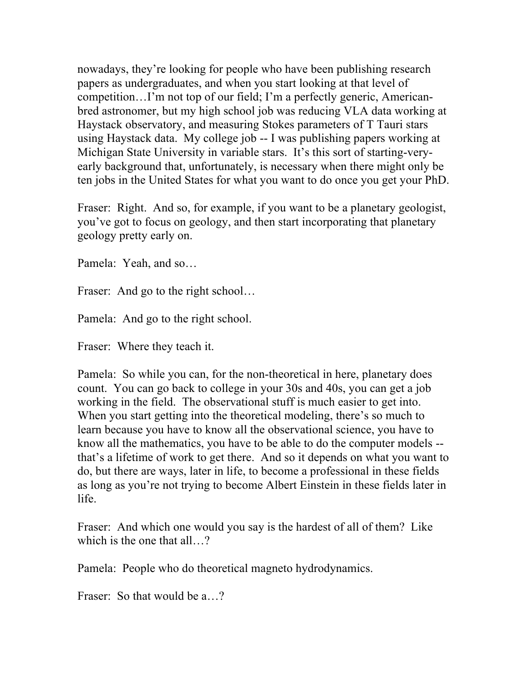nowadays, they're looking for people who have been publishing research papers as undergraduates, and when you start looking at that level of competition…I'm not top of our field; I'm a perfectly generic, Americanbred astronomer, but my high school job was reducing VLA data working at Haystack observatory, and measuring Stokes parameters of T Tauri stars using Haystack data. My college job -- I was publishing papers working at Michigan State University in variable stars. It's this sort of starting-veryearly background that, unfortunately, is necessary when there might only be ten jobs in the United States for what you want to do once you get your PhD.

Fraser: Right. And so, for example, if you want to be a planetary geologist, you've got to focus on geology, and then start incorporating that planetary geology pretty early on.

Pamela: Yeah, and so…

Fraser: And go to the right school...

Pamela: And go to the right school.

Fraser: Where they teach it.

Pamela: So while you can, for the non-theoretical in here, planetary does count. You can go back to college in your 30s and 40s, you can get a job working in the field. The observational stuff is much easier to get into. When you start getting into the theoretical modeling, there's so much to learn because you have to know all the observational science, you have to know all the mathematics, you have to be able to do the computer models - that's a lifetime of work to get there. And so it depends on what you want to do, but there are ways, later in life, to become a professional in these fields as long as you're not trying to become Albert Einstein in these fields later in life.

Fraser: And which one would you say is the hardest of all of them? Like which is the one that all...?

Pamela: People who do theoretical magneto hydrodynamics.

Fraser: So that would be a...?